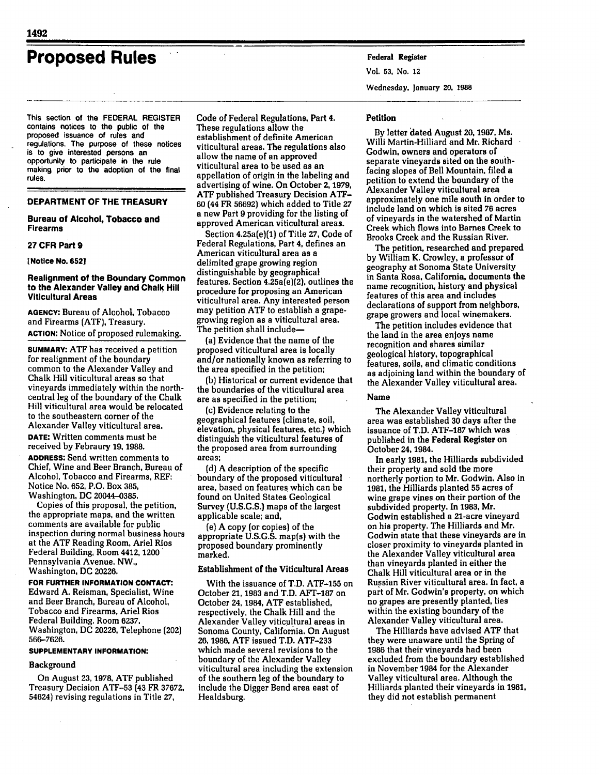# **Proposed Rules Federal Register**

This section of the FEDERAL REGISTER contains notices to the public of the proposed issuance of rules and regulations. The purpose of these notices is to give interested persons an opportunity to participate in the rule making prior to the adoption of the final rules.

## **DEPARTMENT OF THE TREASURY**

#### **Bureau of Alcohol, Tobacco and Firearms**

## **27 CFR Part 9**

**[Notice No. 6521**

## **Realignment of the Boundary Common to the Alexander Valley and Chalk Hill Viticultural Areas**

**AGENCY:** Bureau of Alcohol, Tobacco and Firearms (ATF), Treasury. **ACTION:** Notice of proposed rulemaking.

**SUMMARY: ATF** has received a petition for realignment of the boundary common to the Alexander Valley and Chalk Hill viticultural areas so that vineyards immediately within the northcentral leg of the boundary of the Chalk Hill viticultural area would be relocated to the southeastern corner of the Alexander Valley viticultural area. **DATE:** Written comments must be received **by** Febraury **19, 1988.**

**ADDRESS:** Send written comments to Chief, Wine and Beer Branch, Bureau of Alcohol, Tobacco and Firearms, REF: Notice No. **652,** P.O. Box **385,** Washington, **DC** 20044-0385.

Copies of this proposal, the petition, the appropriate maps, and the written comments are available for public inspection during normal business hours at the **ATF** Reading Room, Ariel Rios Federal Building, Room **4412,** 1200 Pennsylvania Avenue, NW., Washington, **DC 20226.**

**FOR FURTHER INFORMATION CONTACT:** Edward **A.** Reisman, Specialist, Wine and Beer Branch, Bureau of Alcohol, Tobacco and Firearms, Ariel Rios Federal Building, Room **6237.** Washington, **DC** 20226, Telephone (202) 566-7626.

#### **SUPPLEMENTARY INFORMATION:**

#### Background

On August **23, 1978.** ATF published Treasury Decision ATF-53 (43 FR **37672,** 54624) revising regulations in Title **27,**

Code of Federal Regulations, Part **4.** These regulations allow the establishment of definite American viticultural areas. The regulations also allow the name of an approved viticultural area to be used as an appellation of origin in the labeling and advertising of wine. On October **2, 1979, ATF** published Treasury Decision ATF-**60** (44 FR 56692) which added to Title **27** a new Part 9 providing for the listing of approved American viticultural areas.

Section 4.25a(e)(1) of Title **27,** Code of Federal Regulations, Part 4, defines an American viticultural area as a delimited grape growing region distinguishable **by** geographical features. Section 4.25a(e)(2), outlines the procedure for proposing an American viticultural area. Any interested person may petition **ATF** to establish a grapegrowing region as a viticultural area. The petition shall include-

(a) Evidence that the name of the proposed viticultural area is locally and/or nationally known as referring to the area specified in the petition;

**(b)** Historical or current evidence that the boundaries of the viticultural area are as specified in the petition;

(c) Evidence relating to the geographical features (climate, soil, elevation, physical features, etc.) which distinguish the viticultural features of the proposed area from surrounding areas;

**(d) A** description of the specific boundary of the proposed viticultural area, based on features which can be found on United States Geological Survey **(U.S.G.S.)** maps of the largest applicable scale; and,

(e) **A** copy (or copies) of the appropriate **U.S.G.S.** map(s) with the proposed boundary prominently marked.

## Establishment of the Viticultural Areas

With the issuance of T.D. **ATF-155** on October **21, 1983** and T.D. **AFT-187** on October 24, 1984, **ATF** established, respectively, the Chalk Hill and the Alexander Valley viticultural areas in Sonoma County, California. On August **26, 1986, ATF** issued T.D. **ATF-233** which made several revisions to the boundary of the Alexander Valley viticultural area including the extension of the southern leg of the boundary to include the Digger Bend area east of Healdsburg.

Vol. **53,** No. **12**

Wednesday. January **20, 1988**

## Petition

**By** letter 'dated August **20, 1987,** Ms. Willi Martin-Hilliard and Mr. Richard Godwin, owners and operators of separate vineyards sited on the southfacing slopes of Bell Mountain, filed a petition to extend the boundary of the Alexander Valley viticultural area approximately one mile south in order to include land on which is sited **76** acres of vineyards in the watershed of Martin Creek which flows into Barnes Creek to Brooks Creek and the Russian River.

The petition, researched and prepared **by** William K. Crowley, a professor of geography at Sonoma State University in Santa Rosa, California, documents the name recognition, history and physical features of this area and includes declarations of support from neighbors, grape growers and local winemakers.

The petition includes evidence that the land in the area enjoys name recognition and shares similar geological history, topographical features, soils, and climatic conditions as adjoining land within the boundary of the Alexander Valley viticultural area.

## Name

The Alexander Valley viticultural area was established **30** days after the issuance of T.D. **ATF-187** which was published in the Federal Register on October 24, 1984.

In early **1981,** the Hilliards subdivided their property and sold the more northerly portion to Mr. Godwin. Also in **1981,** the Hilliards planted **55** acres of wine grape vines on their portion of the subdivided property. In **1983,** Mr. Godwin established a 21-acre vineyard on his property. The Hilliards and Mr. Godwin state that these vineyards are in closer proximity to vineyards planted in the Alexander Valley viticultural area than vineyards planted in either the Chalk Hill viticultural area or in the Russian River viticultural area. In fact, a part of Mr. Godwin's property, on which no grapes are presently planted, lies within the existing boundary of the Alexander Valley viticultural area.

The Hilliards have advised **ATF** that they were unaware until the Spring of 1986 that their vineyards had been excluded from the boundary established in November 1984 for the Alexander Valley viticultural area. Although the Hilliards planted their vineyards in **1981,** they did not establish permanent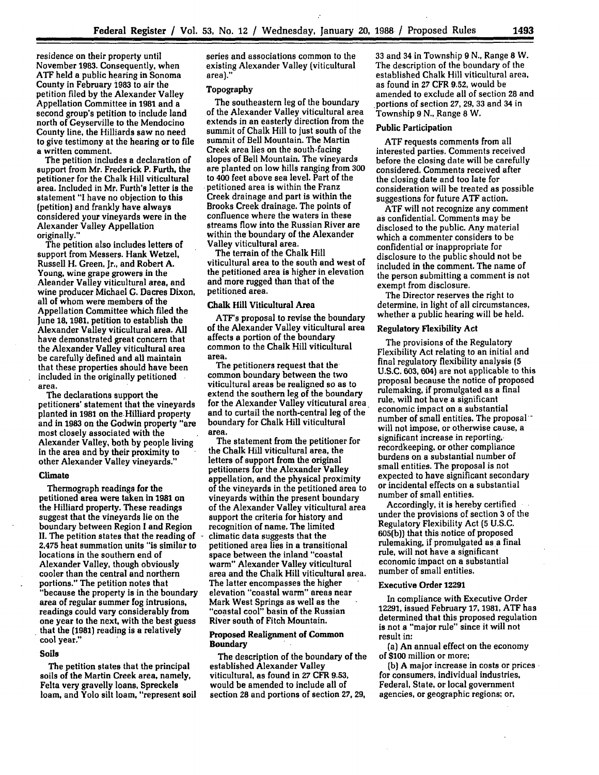residence on their property until November **1983.** Consequently, when **ATF** held a public hearing in Sonoma County in February **1983** to air the petition filed by the Alexander Valley Appellation Committee in **1981** and a second group's petition to include land north of Geyserville to the Mendocino County line, the Hilliards saw no need to give testimony at the hearing or to file a written comment.

The petition includes a declaration of support from Mr. Frederick P. Furth, the petitioner for the Chalk Hill viticultural area. Included in Mr. Furth's letter is the statement "I have no objection to this (petition) and frankly have always considered your vineyards were in the Alexander Valley Appellation originally."

The petition also includes letters of support from Messers. Hank Wetzel, Russell H. Green, Jr., and Robert **A.** Young, wine grape growers in the Aleander Valley viticultural area, and wine producer Michael **G.** Dacres Dixon, all of whom were members of the Appellation Committee which filed the June **18, 1981.** petition to establish the Alexander Valley viticultural area. **All** have demonstrated great concern that the Alexander Valley viticultural area be carefully defined and all maintain that these properties should have been included in the originally petitioned area.

The declarations support the petitioners' statement that the vineyards planted in 1981 on the Hilliard property and in **1983** on the Godwin property "are most closely associated with the Alexander Valley, both by people living in the area and **by** their proximity to other Alexander Valley vineyards."

#### Climate

Thermograph readings for the petitioned area were taken in **1981** on the Hilliard property. These readings suggest that the vineyards lie on the boundary between Region **I** and Region II. The petition states that the reading of 2,475 heat summation units "is similar to locations in the southern end of Alexander Valley, though obviously cooler than the central and northern portions." The petition notes that "because the property is in the boundary area of regular summer fog intrusions, readings could vary considerably from one year to the next, with the best guess that the **(1981)** reading is a relatively cool year."

#### Soils

The petition states that the principal soils of the Martin Creek area, namely, Felta very gravelly loans, Spreckels loam, and Yolo silt loam, "represent soil series and associations common to the existing Alexander Valley (viticultural area)."

#### Topography

The southeastern leg of the boundary of the Alexander Valley viticultural area extends in an easterly direction from the summit of Chalk Hill to just south of the summit of Bell Mountain. The Martin Creek area lies on the south-facing slopes of Bell Mountain. The vineyards are planted on low hills ranging from **300** to 400 feet above sea level. Part of the petitioned area is within the Franz Creek drainage and part is within the Brooks Creek drainage. The points of confluence where the waters in these streams flow into the Russian River are within the boundary of the Alexander Valley viticultural area.

The terrain of the Chalk Hill viticultural area to the south and west of the petitioned area is higher in elevation and more rugged than that of the petitioned area.

## Chalk Hill Viticultural Area

ATF's proposal to revise the boundary of the Alexander Valley viticultural area affects a portion of the boundary common to the Chalk Hill viticultural area.

The petitioners request that the common boundary between the two viticultural areas be realigned so as to extend the southern leg of the boundary for the Alexander Valley viticutural area and to curtail the north-central leg of the boundary for Chalk Hill viticultural area.

The statement from the petitioner for the Chalk Hill viticultural area, the letters of support from the original petitioners for the Alexander Valley appellation, and the physical proximity of the vineyards in the petitioned area to vineyards within the present boundary of the Alexander Valley viticultural area support the criteria for history and recognition of name. The limited **-** climatic data suggests that the petitioned area lies in a transitional space between the inland "coastal warm" Alexander Valley viticultural area and the Chalk Hill viticultural area. The latter encompasses the higher elevation "coastal warm" areas near Mark West Springs as well as the "coastal cool" basin of the Russian River south of Fitch Mountain.

## Proposed Realignment of Common Boundary

The description of the boundary of the established Alexander Valley viticultural, as found in **27** CFR **9.53,** would be amended to include all of section **28** and portions of section **27, 29,**

33 and 34 in Township 9 N., Range **8** W. The description of the boundary of the established Chalk Hill viticultural area, as found in **27** CFR 9.52, would be amended to exclude all of section 28 and -portions of section **27,** 29, **33** and 34 in Township 9 N., Range **8** W.

#### Public Participation

**ATF** requests comments from all interested parties. Comments received before the closing date will be carefully considered. Comments received after the closing date and too late for consideration will be treated as possible suggestions for future ATF action.

ATF will not recognize any comment as confidential. Comments may be disclosed to the public. Any material which a commenter considers to be confidential or inappropriate for disclosure to the public should not be included in the comment. The name of the person submitting a comment is not exempt from disclosure.

The Director reserves the right to determine, in light of all circumstances, whether a public hearing will be held.

#### Regulatory Flexibility Act

The provisions of the Regulatory Flexibility Act relating to an initial and final regulatory flexibility analysis **(5 U.S.C. 603,** 604) are not applicable to this proposal because the notice of proposed rulemaking, if promulgated as a final rule, will not have a significant economic impact on a substantial number of small entities. The proposal<sup>--</sup> will not impose, or otherwise cause, a significant increase in reporting,. recordkeeping, or other compliance burdens on a substantial number of small entities. The proposal is not expected to have significant secondary or incidental effects on a substantial number of small entities.

Accordingly, it is hereby certified under the provisions of section **3** of the Regulatory Flexibility Act **(5** U.S.C. 605(b)) that this notice of proposed rulemaking, if promulgated as a final rule, will not have a significant economic impact on a substantial number of small entities.

## Executive Order **12291**

In compliance with Executive Order **12291,** issued February **17, 1981, ATF** has determined that this proposed regulation is not a "major rule" since it will not result in:

(a) An annual effect on the economy of **\$100** million or more;

**(b)** A major increase in costs or prices for consumers, individual industries, Federal, State, or local government agencies, or geographic regions; or,